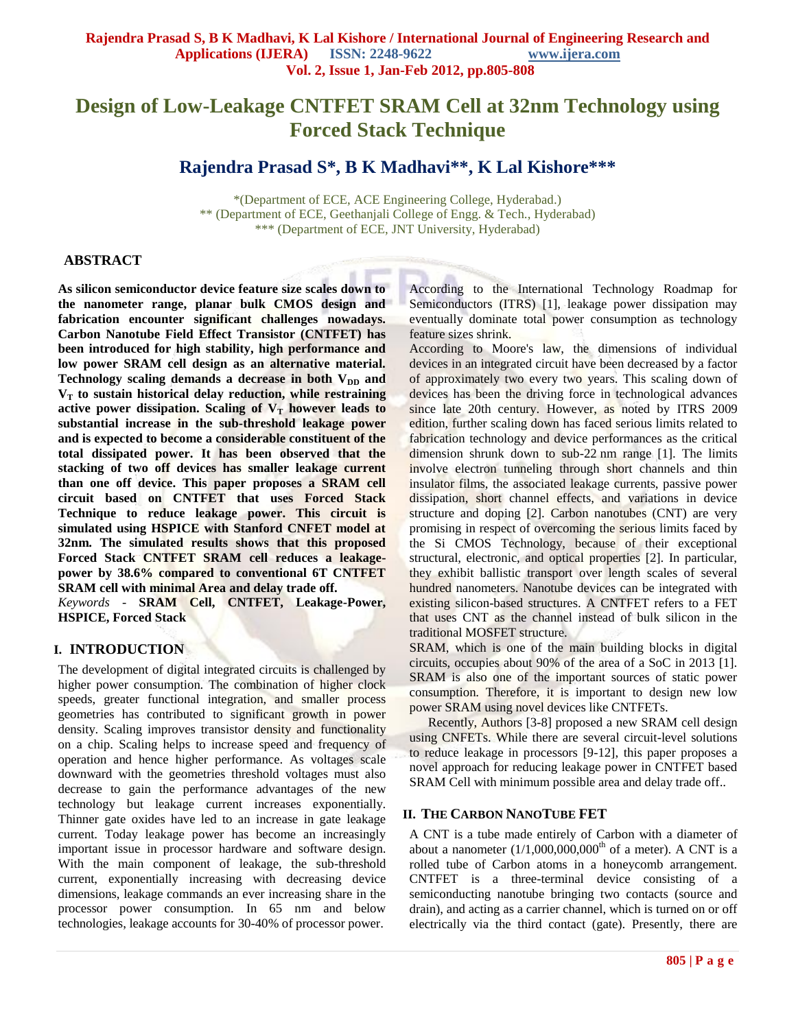# **Design of Low-Leakage CNTFET SRAM Cell at 32nm Technology using Forced Stack Technique**

# **Rajendra Prasad S\*, B K Madhavi\*\*, K Lal Kishore\*\*\***

\*(Department of ECE, ACE Engineering College, Hyderabad.) \*\* (Department of ECE, Geethanjali College of Engg. & Tech., Hyderabad) \*\*\* (Department of ECE, JNT University, Hyderabad)

#### **ABSTRACT**

**As silicon semiconductor device feature size scales down to the nanometer range, planar bulk CMOS design and fabrication encounter significant challenges nowadays. Carbon Nanotube Field Effect Transistor (CNTFET) has been introduced for high stability, high performance and low power SRAM cell design as an alternative material.**  Technology scaling demands a decrease in both V<sub>DD</sub> and **V<sup>T</sup> to sustain historical delay reduction, while restraining**  active power dissipation. Scaling of  $V_T$  however leads to **substantial increase in the sub-threshold leakage power and is expected to become a considerable constituent of the total dissipated power. It has been observed that the stacking of two off devices has smaller leakage current than one off device. This paper proposes a SRAM cell circuit based on CNTFET that uses Forced Stack Technique to reduce leakage power. This circuit is simulated using HSPICE with Stanford CNFET model at 32nm. The simulated results shows that this proposed Forced Stack CNTFET SRAM cell reduces a leakagepower by 38.6% compared to conventional 6T CNTFET SRAM cell with minimal Area and delay trade off.** *Keywords -* **SRAM Cell, CNTFET, Leakage-Power, HSPICE, Forced Stack**

#### **I. INTRODUCTION**

The development of digital integrated circuits is challenged by higher power consumption. The combination of higher clock speeds, greater functional integration, and smaller process geometries has contributed to significant growth in power density. Scaling improves transistor density and functionality on a chip. Scaling helps to increase speed and frequency of operation and hence higher performance. As voltages scale downward with the geometries threshold voltages must also decrease to gain the performance advantages of the new technology but leakage current increases exponentially. Thinner gate oxides have led to an increase in gate leakage current. Today leakage power has become an increasingly important issue in processor hardware and software design. With the main component of leakage, the sub-threshold current, exponentially increasing with decreasing device dimensions, leakage commands an ever increasing share in the processor power consumption. In 65 nm and below technologies, leakage accounts for 30-40% of processor power.

According to the International Technology Roadmap for Semiconductors (ITRS) [1], leakage power dissipation may eventually dominate total power consumption as technology feature sizes shrink.

According to Moore's law, the dimensions of individual devices in an integrated circuit have been decreased by a factor of approximately two every two years. This scaling down of devices has been the driving force in technological advances since late 20th century. However, as noted by ITRS 2009 edition, further scaling down has faced serious limits related to fabrication technology and device performances as the critical dimension shrunk down to sub-22 nm range [1]. The limits involve electron tunneling through short channels and thin insulator films, the associated leakage currents, passive power dissipation, short channel effects, and variations in device structure and doping [2]. Carbon nanotubes (CNT) are very promising in respect of overcoming the serious limits faced by the Si CMOS Technology, because of their exceptional structural, electronic, and optical properties [2]. In particular, they exhibit ballistic transport over length scales of several hundred nanometers. Nanotube devices can be integrated with existing silicon-based structures. A CNTFET refers to a FET that uses CNT as the channel instead of bulk silicon in the traditional MOSFET structure.

SRAM, which is one of the main building blocks in digital circuits, occupies about 90% of the area of a SoC in 2013 [1]. SRAM is also one of the important sources of static power consumption. Therefore, it is important to design new low power SRAM using novel devices like CNTFETs.

Recently, Authors [3-8] proposed a new SRAM cell design using CNFETs. While there are several circuit-level solutions to reduce leakage in processors [9-12], this paper proposes a novel approach for reducing leakage power in CNTFET based SRAM Cell with minimum possible area and delay trade off..

## **II. THE CARBON NANOTUBE FET**

A CNT is a tube made entirely of Carbon with a diameter of about a nanometer  $(1/1,000,000,000$ <sup>th</sup> of a meter). A CNT is a rolled tube of Carbon atoms in a honeycomb arrangement. CNTFET is a three-terminal device consisting of a semiconducting nanotube bringing two contacts (source and drain), and acting as a carrier channel, which is turned on or off electrically via the third contact (gate). Presently, there are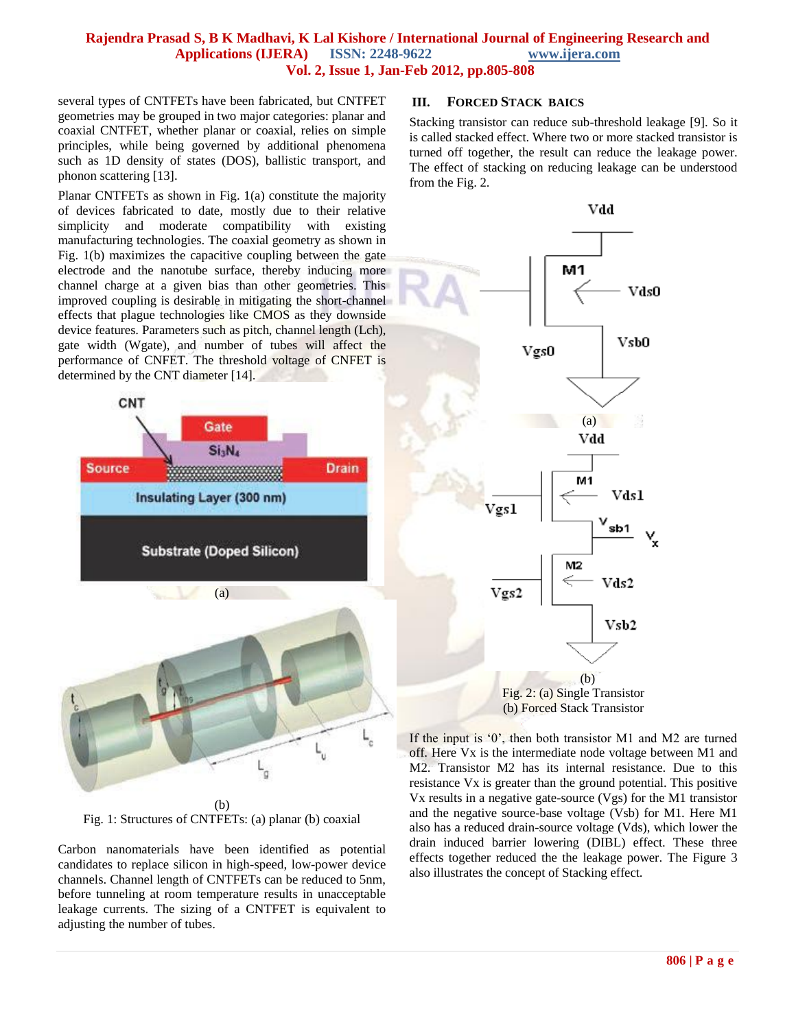#### **Rajendra Prasad S, B K Madhavi, K Lal Kishore / International Journal of Engineering Research and Applications (IJERA) ISSN: 2248-9622 www.ijera.com Vol. 2, Issue 1, Jan-Feb 2012, pp.805-808**

several types of CNTFETs have been fabricated, but CNTFET geometries may be grouped in two major categories: planar and coaxial CNTFET, whether planar or coaxial, relies on simple principles, while being governed by additional phenomena such as 1D density of states (DOS), ballistic transport, and phonon scattering [13].

Planar CNTFETs as shown in Fig. 1(a) constitute the majority of devices fabricated to date, mostly due to their relative simplicity and moderate compatibility with existing manufacturing technologies. The coaxial geometry as shown in Fig. 1(b) maximizes the capacitive coupling between the gate electrode and the nanotube surface, thereby inducing more channel charge at a given bias than other geometries. This improved coupling is desirable in mitigating the short-channel effects that plague technologies like CMOS as they downside device features. Parameters such as pitch, channel length (Lch), gate width (Wgate), and number of tubes will affect the performance of CNFET. The threshold voltage of CNFET is determined by the CNT diameter [14].



Fig. 1: Structures of CNTFETs: (a) planar (b) coaxial

Carbon nanomaterials have been identified as potential candidates to replace silicon in high-speed, low-power device channels. Channel length of CNTFETs can be reduced to 5nm, before tunneling at room temperature results in unacceptable leakage currents. The sizing of a CNTFET is equivalent to adjusting the number of tubes.

#### **III. FORCED STACK BAICS**

Stacking transistor can reduce sub-threshold leakage [9]. So it is called stacked effect. Where two or more stacked transistor is turned off together, the result can reduce the leakage power. The effect of stacking on reducing leakage can be understood from the Fig. 2.



If the input is '0', then both transistor M1 and M2 are turned off. Here Vx is the intermediate node voltage between M1 and M2. Transistor M2 has its internal resistance. Due to this resistance Vx is greater than the ground potential. This positive Vx results in a negative gate-source (Vgs) for the M1 transistor and the negative source-base voltage (Vsb) for M1. Here M1 also has a reduced drain-source voltage (Vds), which lower the drain induced barrier lowering (DIBL) effect. These three effects together reduced the the leakage power. The Figure 3 also illustrates the concept of Stacking effect.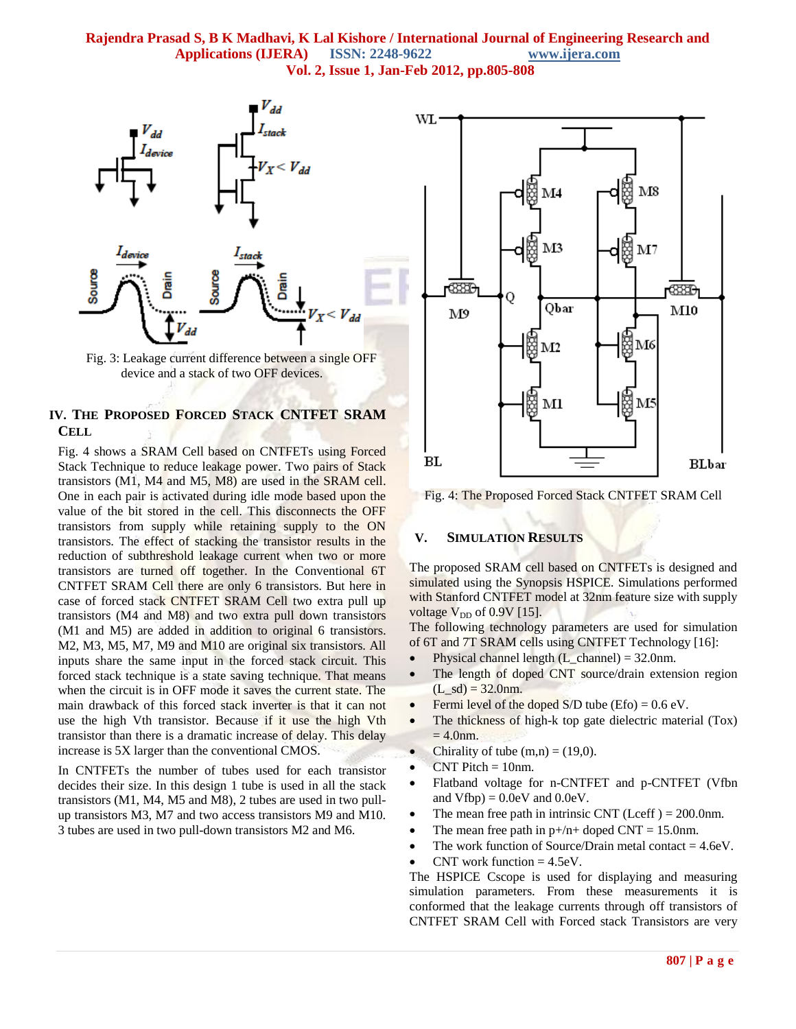#### **Rajendra Prasad S, B K Madhavi, K Lal Kishore / International Journal of Engineering Research and Applications (IJERA) ISSN: 2248-9622 www.ijera.com Vol. 2, Issue 1, Jan-Feb 2012, pp.805-808**



Fig. 3: Leakage current difference between a single OFF device and a stack of two OFF devices.

# **IV. THE PROPOSED FORCED STACK CNTFET SRAM CELL**

Fig. 4 shows a SRAM Cell based on CNTFETs using Forced Stack Technique to reduce leakage power. Two pairs of Stack transistors (M1, M4 and M5, M8) are used in the SRAM cell. One in each pair is activated during idle mode based upon the value of the bit stored in the cell. This disconnects the OFF transistors from supply while retaining supply to the ON transistors. The effect of stacking the transistor results in the reduction of subthreshold leakage current when two or more transistors are turned off together. In the Conventional 6T CNTFET SRAM Cell there are only 6 transistors. But here in case of forced stack CNTFET SRAM Cell two extra pull up transistors (M4 and M8) and two extra pull down transistors (M1 and M5) are added in addition to original 6 transistors. M2, M3, M5, M7, M9 and M10 are original six transistors. All inputs share the same input in the forced stack circuit. This forced stack technique is a state saving technique. That means when the circuit is in OFF mode it saves the current state. The main drawback of this forced stack inverter is that it can not use the high Vth transistor. Because if it use the high Vth transistor than there is a dramatic increase of delay. This delay increase is 5X larger than the conventional CMOS.

In CNTFETs the number of tubes used for each transistor decides their size. In this design 1 tube is used in all the stack transistors (M1, M4, M5 and M8), 2 tubes are used in two pullup transistors M3, M7 and two access transistors M9 and M10. 3 tubes are used in two pull-down transistors M2 and M6.



Fig. 4: The Proposed Forced Stack CNTFET SRAM Cell

#### **V. SIMULATION RESULTS**

The proposed SRAM cell based on CNTFETs is designed and simulated using the Synopsis HSPICE. Simulations performed with Stanford CNTFET model at 32nm feature size with supply voltage  $V_{DD}$  of 0.9V [15].

The following technology parameters are used for simulation of 6T and 7T SRAM cells using CNTFET Technology [16]:

- Physical channel length (L\_channel) =  $32.0$ nm.
- The length of doped CNT source/drain extension region  $(L<sub>s</sub>d) = 32.0nm.$
- Fermi level of the doped  $S/D$  tube (Efo) = 0.6 eV.
- The thickness of high-k top gate dielectric material (Tox)  $= 4.0$ nm.
- Chirality of tube  $(m,n) = (19,0)$ .
- $CNT$  Pitch = 10nm.
- Flatband voltage for n-CNTFET and p-CNTFET (Vfbn and  $Vfbp$  = 0.0eV and 0.0eV.
- The mean free path in intrinsic CNT (Lceff  $) = 200.0$ nm.
- The mean free path in  $p+/n+$  doped CNT = 15.0nm.
- The work function of Source/Drain metal contact  $= 4.6$ eV.
- CNT work function  $= 4.5$ eV.

The HSPICE Cscope is used for displaying and measuring simulation parameters. From these measurements it is conformed that the leakage currents through off transistors of CNTFET SRAM Cell with Forced stack Transistors are very